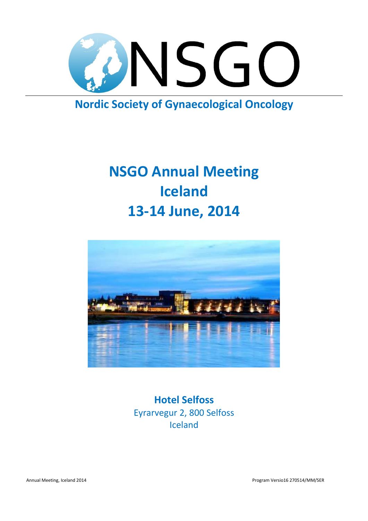

### **Nordic Society of Gynaecological Oncology**

### **NSGO Annual Meeting Iceland 13-14 June, 2014**



**Hotel Selfoss** Eyrarvegur 2, 800 Selfoss Iceland

Annual Meeting, Iceland 2014 Program Versio16 270514/MM/SER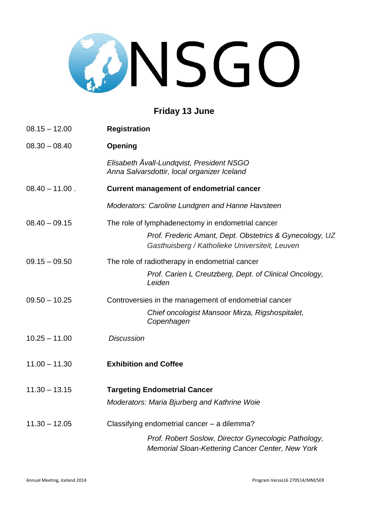## CONSGO

#### **Friday 13 June**

| $08.15 - 12.00$   | <b>Registration</b>                                                                                       |
|-------------------|-----------------------------------------------------------------------------------------------------------|
| $08.30 - 08.40$   | <b>Opening</b>                                                                                            |
|                   | Elisabeth Åvall-Lundqvist, President NSGO<br>Anna Salvarsdottir, local organizer Iceland                  |
| $08.40 - 11.00$ . | <b>Current management of endometrial cancer</b>                                                           |
|                   | Moderators: Caroline Lundgren and Hanne Havsteen                                                          |
| $08.40 - 09.15$   | The role of lymphadenectomy in endometrial cancer                                                         |
|                   | Prof. Frederic Amant, Dept. Obstetrics & Gynecology, UZ<br>Gasthuisberg / Katholieke Universiteit, Leuven |
| $09.15 - 09.50$   | The role of radiotherapy in endometrial cancer                                                            |
|                   | Prof. Carien L Creutzberg, Dept. of Clinical Oncology,<br>Leiden                                          |
| $09.50 - 10.25$   | Controversies in the management of endometrial cancer                                                     |
|                   | Chief oncologist Mansoor Mirza, Rigshospitalet,<br>Copenhagen                                             |
| $10.25 - 11.00$   | <b>Discussion</b>                                                                                         |
| $11.00 - 11.30$   | <b>Exhibition and Coffee</b>                                                                              |
| $11.30 - 13.15$   | <b>Targeting Endometrial Cancer</b>                                                                       |
|                   | Moderators: Maria Bjurberg and Kathrine Woie                                                              |
| $11.30 - 12.05$   | Classifying endometrial cancer - a dilemma?                                                               |
|                   | Prof. Robert Soslow, Director Gynecologic Pathology,<br>Memorial Sloan-Kettering Cancer Center, New York  |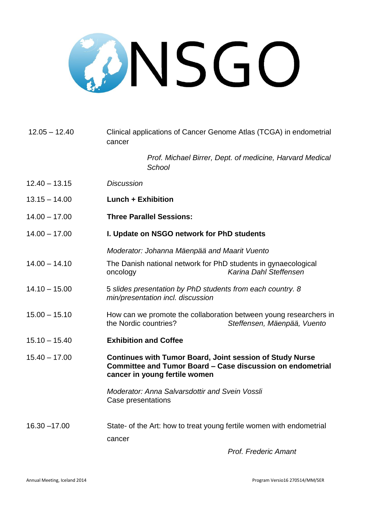# CONSGO

| $12.05 - 12.40$ | Clinical applications of Cancer Genome Atlas (TCGA) in endometrial<br>cancer                                                                                   |
|-----------------|----------------------------------------------------------------------------------------------------------------------------------------------------------------|
|                 | Prof. Michael Birrer, Dept. of medicine, Harvard Medical<br>School                                                                                             |
| $12.40 - 13.15$ | <b>Discussion</b>                                                                                                                                              |
| $13.15 - 14.00$ | <b>Lunch + Exhibition</b>                                                                                                                                      |
| $14.00 - 17.00$ | <b>Three Parallel Sessions:</b>                                                                                                                                |
| $14.00 - 17.00$ | I. Update on NSGO network for PhD students                                                                                                                     |
|                 | Moderator: Johanna Mäenpää and Maarit Vuento                                                                                                                   |
| $14.00 - 14.10$ | The Danish national network for PhD students in gynaecological<br>Karina Dahl Steffensen<br>oncology                                                           |
| $14.10 - 15.00$ | 5 slides presentation by PhD students from each country. 8<br>min/presentation incl. discussion                                                                |
| $15.00 - 15.10$ | How can we promote the collaboration between young researchers in<br>the Nordic countries?<br>Steffensen, Mäenpää, Vuento                                      |
| $15.10 - 15.40$ | <b>Exhibition and Coffee</b>                                                                                                                                   |
| $15.40 - 17.00$ | <b>Continues with Tumor Board, Joint session of Study Nurse</b><br>Committee and Tumor Board – Case discussion on endometrial<br>cancer in young fertile women |
|                 | <b>Moderator: Anna Salvarsdottir and Svein Vossli</b><br>Case presentations                                                                                    |
| $16.30 - 17.00$ | State- of the Art: how to treat young fertile women with endometrial<br>cancer                                                                                 |
|                 |                                                                                                                                                                |

*Prof. Frederic Amant*

Annual Meeting, Iceland 2014 Program Versio16 270514/MM/SER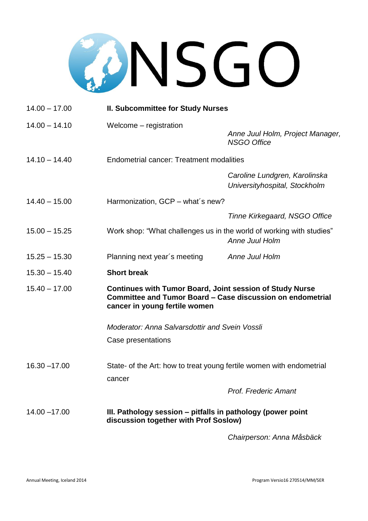# CONSGO

| $14.00 - 17.00$ | <b>II. Subcommittee for Study Nurses</b>                                                                                                                       |                                                                |  |
|-----------------|----------------------------------------------------------------------------------------------------------------------------------------------------------------|----------------------------------------------------------------|--|
| $14.00 - 14.10$ | Welcome - registration                                                                                                                                         | Anne Juul Holm, Project Manager,<br><b>NSGO Office</b>         |  |
| $14.10 - 14.40$ | <b>Endometrial cancer: Treatment modalities</b>                                                                                                                |                                                                |  |
|                 |                                                                                                                                                                | Caroline Lundgren, Karolinska<br>Universityhospital, Stockholm |  |
| $14.40 - 15.00$ | Harmonization, GCP - what's new?                                                                                                                               |                                                                |  |
|                 |                                                                                                                                                                | Tinne Kirkegaard, NSGO Office                                  |  |
| $15.00 - 15.25$ | Work shop: "What challenges us in the world of working with studies"                                                                                           | Anne Juul Holm                                                 |  |
| $15.25 - 15.30$ | Planning next year's meeting                                                                                                                                   | Anne Juul Holm                                                 |  |
| $15.30 - 15.40$ | <b>Short break</b>                                                                                                                                             |                                                                |  |
| $15.40 - 17.00$ | <b>Continues with Tumor Board, Joint session of Study Nurse</b><br>Committee and Tumor Board - Case discussion on endometrial<br>cancer in young fertile women |                                                                |  |
|                 | <b>Moderator: Anna Salvarsdottir and Svein Vossli</b>                                                                                                          |                                                                |  |
|                 | Case presentations                                                                                                                                             |                                                                |  |
| $16.30 - 17.00$ | State- of the Art: how to treat young fertile women with endometrial                                                                                           |                                                                |  |
|                 | cancer                                                                                                                                                         | <b>Prof. Frederic Amant</b>                                    |  |
| $14.00 - 17.00$ | III. Pathology session - pitfalls in pathology (power point<br>discussion together with Prof Soslow)                                                           |                                                                |  |
|                 |                                                                                                                                                                |                                                                |  |

*Chairperson: Anna Måsbäck*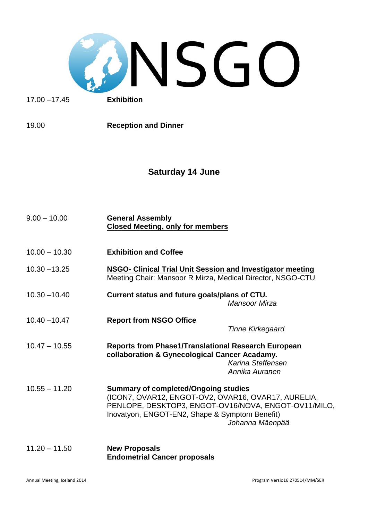

17.00 –17.45 **Exhibition**

19.00 **Reception and Dinner**

#### **Saturday 14 June**

| $9.00 - 10.00$  | <b>General Assembly</b><br><b>Closed Meeting, only for members</b>                                                                                                                                                              |
|-----------------|---------------------------------------------------------------------------------------------------------------------------------------------------------------------------------------------------------------------------------|
| $10.00 - 10.30$ | <b>Exhibition and Coffee</b>                                                                                                                                                                                                    |
| $10.30 - 13.25$ | <b>NSGO- Clinical Trial Unit Session and Investigator meeting</b><br>Meeting Chair: Mansoor R Mirza, Medical Director, NSGO-CTU                                                                                                 |
| $10.30 - 10.40$ | Current status and future goals/plans of CTU.<br>Mansoor Mirza                                                                                                                                                                  |
| $10.40 - 10.47$ | <b>Report from NSGO Office</b><br><b>Tinne Kirkegaard</b>                                                                                                                                                                       |
| $10.47 - 10.55$ | <b>Reports from Phase1/Translational Research European</b><br>collaboration & Gynecological Cancer Acadamy.<br>Karina Steffensen<br>Annika Auranen                                                                              |
| $10.55 - 11.20$ | <b>Summary of completed/Ongoing studies</b><br>(ICON7, OVAR12, ENGOT-OV2, OVAR16, OVAR17, AURELIA,<br>PENLOPE, DESKTOP3, ENGOT-OV16/NOVA, ENGOT-OV11/MILO,<br>Inovatyon, ENGOT-EN2, Shape & Symptom Benefit)<br>Johanna Mäenpää |
| $11.20 - 11.50$ | <b>New Proposals</b><br><b>Endometrial Cancer proposals</b>                                                                                                                                                                     |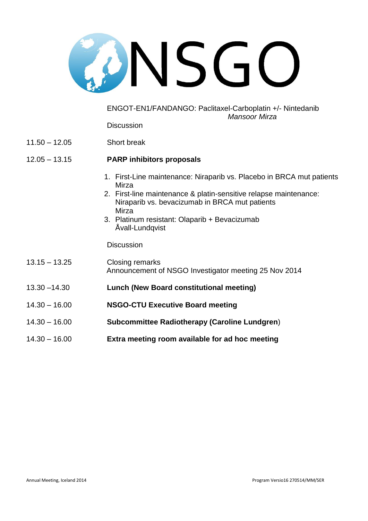

ENGOT-EN1/FANDANGO: Paclitaxel-Carboplatin +/- Nintedanib *Mansoor Mirza*

**Discussion** 

11.50 – 12.05 Short break

#### 12.05 – 13.15 **PARP inhibitors proposals**

- 1. First-Line maintenance: Niraparib vs. Placebo in BRCA mut patients Mirza
- 2. First-line maintenance & platin-sensitive relapse maintenance: Niraparib vs. bevacizumab in BRCA mut patients Mirza
- 3. Platinum resistant: Olaparib + Bevacizumab Åvall-Lundqvist

**Discussion** 

| $13.15 - 13.25$ | Closing remarks<br>Announcement of NSGO Investigator meeting 25 Nov 2014 |
|-----------------|--------------------------------------------------------------------------|
| $13.30 - 14.30$ | <b>Lunch (New Board constitutional meeting)</b>                          |
| $14.30 - 16.00$ | <b>NSGO-CTU Executive Board meeting</b>                                  |
| $14.30 - 16.00$ | <b>Subcommittee Radiotherapy (Caroline Lundgren)</b>                     |
| $14.30 - 16.00$ | Extra meeting room available for ad hoc meeting                          |